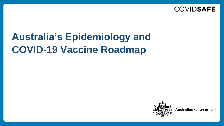

# **Australia's Epidemiology and COVID-19 Vaccine Roadmap**

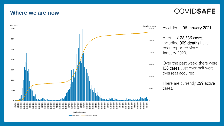#### **Where we are now**

### **COVIDSAFE**



As at 1500, 06 January 2021:

A total of 28,536 cases, including 909 deaths have been reported since January 2020.

Over the past week, there were 158 cases. Just over half were overseas acquired.

There are currently 299 active cases.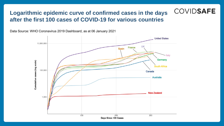#### **COVIDSAFE Logarithmic epidemic curve of confirmed cases in the days after the first 100 cases of COVID-19 for various countries**

Data Source: WHO Coronavirus 2019 Dashboard, as at 06 January 2021

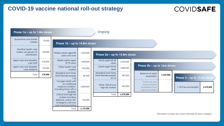#### **COVID-19 vaccine national roll-out strategy**



**COVIDSAFE**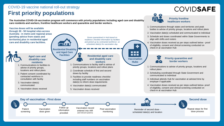#### COVID-19 vaccine national roll-out strategy **First priority populations**

**The Australian COVID-19 vaccination program will commence with priority populations including aged care and disability care residents and workers, frontline healthcare workers and quarantine and border workers.** 

> **Residential Disability and Aged Care Facilities**



### **COVIDSAFE**

1. Communications through states and territories and peak bodies to advise of priority groups, locations and rollout plans

**Priority frontline healthcare workers**

- 2. Vaccination date(s) scheduled and communicated to individual
- 3. Schedule and doses coordinated within State Governments to align with shifts and rosters

4. Vaccination doses received as per steps outlined below - proof of eligibility, consent and clinical screening conducted on check-in at vaccination Hub



**Vaccination Hubs**

---**. . .** 

> **Priority quarantine and border workers**

- 1. Communications to advise of priority groups, locations and rollout plans
- 2. Scheduling coordinated through State Government and communicated to individual
- 3. Individual attends Hub for vaccination at advised time by employer if applicable
- 4. Vaccination doses received as per steps outlined below- proof of eligibility, consent and clinical screening conducted on check-in at vaccination Hub



**through 30 - 50 hospital sites across Australia - in metro and regional areas (pending advice from states and territories) plus in residential aged care and disability care facilities.**

**Vaccine doses will be available** 



**Aged care and disability care residents**

- 1. Communications to facilities to advise of priority groups, locations and rollout plans
- 2. Patient consent coordinated by contracted workforce in consultation with facility
- 3. Vaccination date(s) communicated
- 4. Vaccination doses received

*Doses quarantined in Hub based on readiness checklist information by facilities and picked up by contracted workforce on scheduled date(s) for vaccination day.*

> **Residential aged care and disability care workers**

- 1. Communications to facility staff to advise of priority groups, locations and rollout plans
- 2. Coordinate schedule of first and second doses by facility
- 3. Facilities to provide readiness checklist including staff numbers on vaccination date(s) to inform dose requirements
- 4. Vaccination date(s) communicated
- 5. Vaccination doses received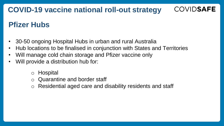## **COVID-19 vaccine national roll-out strategy**

# **Pfizer Hubs**

- 30-50 ongoing Hospital Hubs in urban and rural Australia
- Hub locations to be finalised in conjunction with States and Territories

**COVIDSAFE** 

- Will manage cold chain storage and Pfizer vaccine only
- Will provide a distribution hub for:
	- o Hospital
	- o Quarantine and border staff
	- o Residential aged care and disability residents and staff